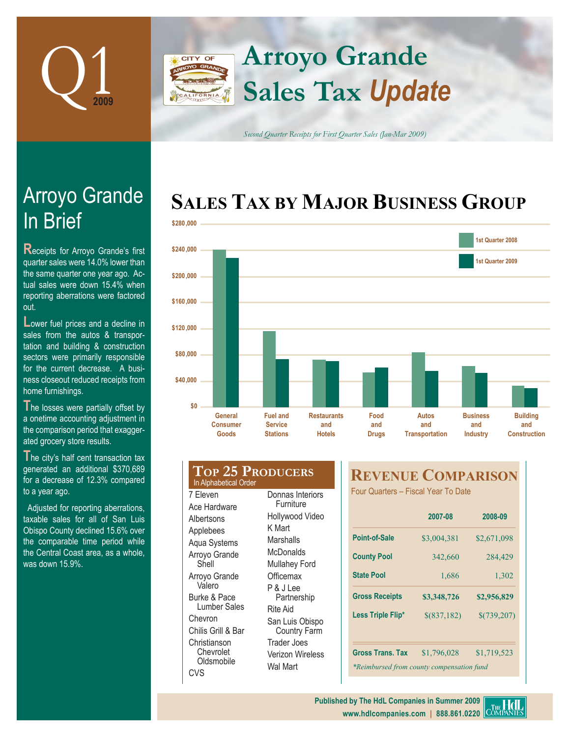

## **Arroyo Grande** CITY OF **Sales Tax** *Update* FORNIA

*Second Quarter Receipts for First Quarter Sales (Jan-Mar 2009)*

# **SALES TAX BY MAJOR BUSINESS GROUP**



# In Brief Arroyo Grande

**Receipts for Arroyo Grande's first** quarter sales were 14.0% lower than the same quarter one year ago. Actual sales were down 15.4% when reporting aberrations were factored out.

**Lower fuel prices and a decline in** sales from the autos & transportation and building & construction sectors were primarily responsible for the current decrease. A business closeout reduced receipts from home furnishings.

The losses were partially offset by a onetime accounting adjustment in the comparison period that exaggerated grocery store results.

**T**he city's half cent transaction tax generated an additional \$370,689 for a decrease of 12.3% compared to a year ago.

Adjusted for reporting aberrations, taxable sales for all of San Luis Obispo County declined 15.6% over the comparable time period while the Central Coast area, as a whole, was down 15.9%.

| <b>TOP 25 PRODUCERS</b><br>In Alphabetical Order                                                                                                                                                                                            |                                                                                                                                                                                                                                                     |
|---------------------------------------------------------------------------------------------------------------------------------------------------------------------------------------------------------------------------------------------|-----------------------------------------------------------------------------------------------------------------------------------------------------------------------------------------------------------------------------------------------------|
| 7 Eleven<br>Ace Hardware<br>Albertsons<br>Applebees<br>Aqua Systems<br>Arroyo Grande<br>Shell<br>Arroyo Grande<br>Valero<br>Burke & Pace<br>Lumber Sales<br>Chevron<br>Chilis Grill & Bar<br>Christianson<br>Chevrolet<br>Oldsmobile<br>CVS | Donnas Interiors<br>Furniture<br>Hollywood Video<br>K Mart<br>Marshalls<br>McDonalds<br>Mullahey Ford<br>Officemax<br>P & J Lee<br>Partnership<br>Rite Aid<br>San Luis Obispo<br><b>Country Farm</b><br>Trader Joes<br>Verizon Wireless<br>Wal Mart |

# **REVENUE COMPARISON**

Four Quarters – Fiscal Year To Date

|                                           | 2007-08       | 2008-09     |  |
|-------------------------------------------|---------------|-------------|--|
| Point-of-Sale                             | \$3,004,381   | \$2,671,098 |  |
| <b>County Pool</b>                        | 342,660       | 284,429     |  |
| <b>State Pool</b>                         | 1,686         | 1,302       |  |
| <b>Gross Receipts</b>                     | \$3,348,726   | \$2,956,829 |  |
| Less Triple Flip*                         | $$$ (837,182) | \$(739,207) |  |
| <b>Gross Trans. Tax</b>                   | \$1,796,028   | \$1,719,523 |  |
| *Reimbursed from county compensation fund |               |             |  |